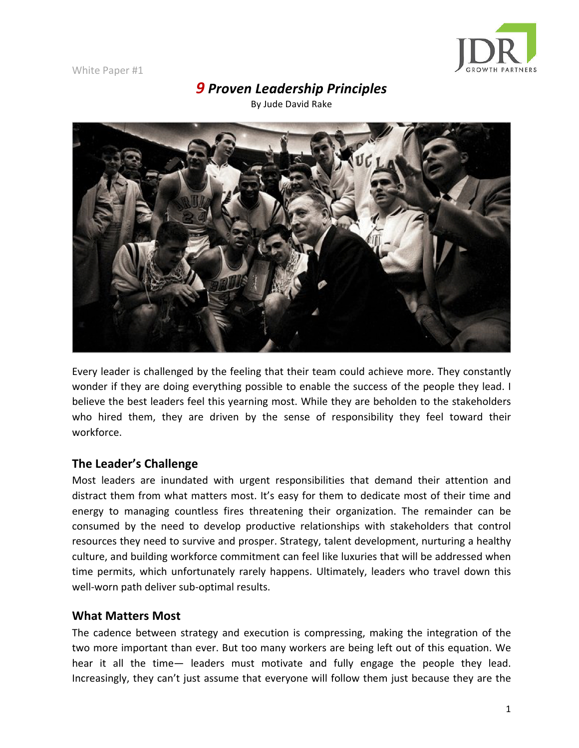

# **9** Proven Leadership Principles

By Jude David Rake



Every leader is challenged by the feeling that their team could achieve more. They constantly wonder if they are doing everything possible to enable the success of the people they lead. I believe the best leaders feel this yearning most. While they are beholden to the stakeholders who hired them, they are driven by the sense of responsibility they feel toward their workforce.

## **The Leader's Challenge**

Most leaders are inundated with urgent responsibilities that demand their attention and distract them from what matters most. It's easy for them to dedicate most of their time and energy to managing countless fires threatening their organization. The remainder can be consumed by the need to develop productive relationships with stakeholders that control resources they need to survive and prosper. Strategy, talent development, nurturing a healthy culture, and building workforce commitment can feel like luxuries that will be addressed when time permits, which unfortunately rarely happens. Ultimately, leaders who travel down this well-worn path deliver sub-optimal results.

## **What Matters Most**

The cadence between strategy and execution is compressing, making the integration of the two more important than ever. But too many workers are being left out of this equation. We hear it all the time— leaders must motivate and fully engage the people they lead. Increasingly, they can't just assume that everyone will follow them just because they are the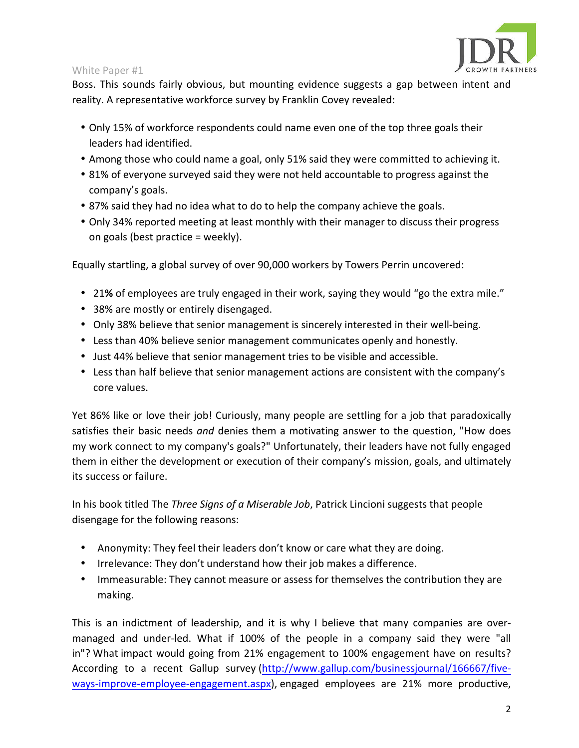

Boss. This sounds fairly obvious, but mounting evidence suggests a gap between intent and reality. A representative workforce survey by Franklin Covey revealed:

- Only 15% of workforce respondents could name even one of the top three goals their leaders had identified.
- Among those who could name a goal, only 51% said they were committed to achieving it.
- 81% of everyone surveyed said they were not held accountable to progress against the company's goals.
- 87% said they had no idea what to do to help the company achieve the goals.
- Only 34% reported meeting at least monthly with their manager to discuss their progress on goals (best practice  $=$  weekly).

Equally startling, a global survey of over 90,000 workers by Towers Perrin uncovered:

- 21% of employees are truly engaged in their work, saying they would "go the extra mile."
- 38% are mostly or entirely disengaged.
- Only 38% believe that senior management is sincerely interested in their well-being.
- Less than 40% believe senior management communicates openly and honestly.
- Just 44% believe that senior management tries to be visible and accessible.
- Less than half believe that senior management actions are consistent with the company's core values.

Yet 86% like or love their job! Curiously, many people are settling for a job that paradoxically satisfies their basic needs and denies them a motivating answer to the question, "How does my work connect to my company's goals?" Unfortunately, their leaders have not fully engaged them in either the development or execution of their company's mission, goals, and ultimately its success or failure.

In his book titled The *Three Signs of a Miserable Job*, Patrick Lincioni suggests that people disengage for the following reasons:

- Anonymity: They feel their leaders don't know or care what they are doing.
- Irrelevance: They don't understand how their job makes a difference.
- Immeasurable: They cannot measure or assess for themselves the contribution they are making.

This is an indictment of leadership, and it is why I believe that many companies are overmanaged and under-led. What if 100% of the people in a company said they were "all in"? What impact would going from 21% engagement to 100% engagement have on results? According to a recent Gallup survey (http://www.gallup.com/businessjournal/166667/fiveways-improve-employee-engagement.aspx), engaged employees are 21% more productive,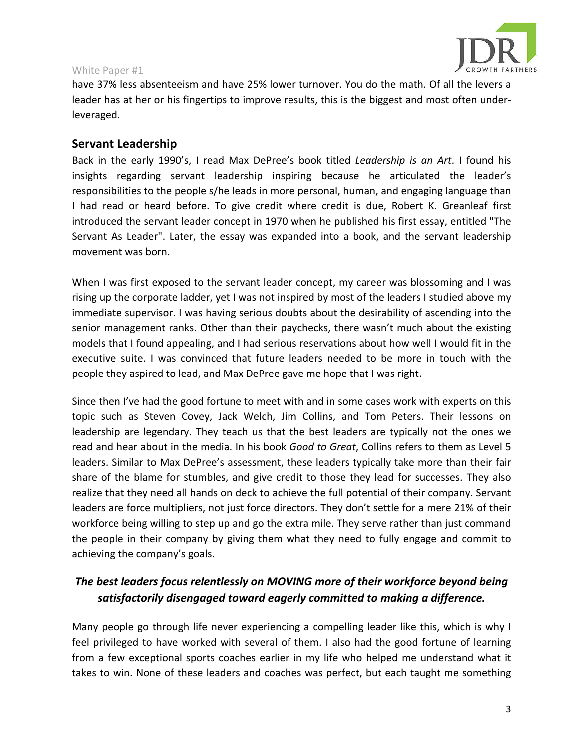

have 37% less absenteeism and have 25% lower turnover. You do the math. Of all the levers a leader has at her or his fingertips to improve results, this is the biggest and most often underleveraged.

## **Servant Leadership**

Back in the early 1990's, I read Max DePree's book titled *Leadership* is an Art. I found his insights regarding servant leadership inspiring because he articulated the leader's responsibilities to the people s/he leads in more personal, human, and engaging language than I had read or heard before. To give credit where credit is due, Robert K. Greanleaf first introduced the servant leader concept in 1970 when he published his first essay, entitled "The Servant As Leader". Later, the essay was expanded into a book, and the servant leadership movement was born.

When I was first exposed to the servant leader concept, my career was blossoming and I was rising up the corporate ladder, yet I was not inspired by most of the leaders I studied above my immediate supervisor. I was having serious doubts about the desirability of ascending into the senior management ranks. Other than their paychecks, there wasn't much about the existing models that I found appealing, and I had serious reservations about how well I would fit in the executive suite. I was convinced that future leaders needed to be more in touch with the people they aspired to lead, and Max DePree gave me hope that I was right.

Since then I've had the good fortune to meet with and in some cases work with experts on this topic such as Steven Covey, Jack Welch, Jim Collins, and Tom Peters. Their lessons on leadership are legendary. They teach us that the best leaders are typically not the ones we read and hear about in the media. In his book *Good to Great*, Collins refers to them as Level 5 leaders. Similar to Max DePree's assessment, these leaders typically take more than their fair share of the blame for stumbles, and give credit to those they lead for successes. They also realize that they need all hands on deck to achieve the full potential of their company. Servant leaders are force multipliers, not just force directors. They don't settle for a mere 21% of their workforce being willing to step up and go the extra mile. They serve rather than just command the people in their company by giving them what they need to fully engage and commit to achieving the company's goals.

## The best leaders focus relentlessly on MOVING more of their workforce beyond being satisfactorily disengaged toward eagerly committed to making a difference.

Many people go through life never experiencing a compelling leader like this, which is why I feel privileged to have worked with several of them. I also had the good fortune of learning from a few exceptional sports coaches earlier in my life who helped me understand what it takes to win. None of these leaders and coaches was perfect, but each taught me something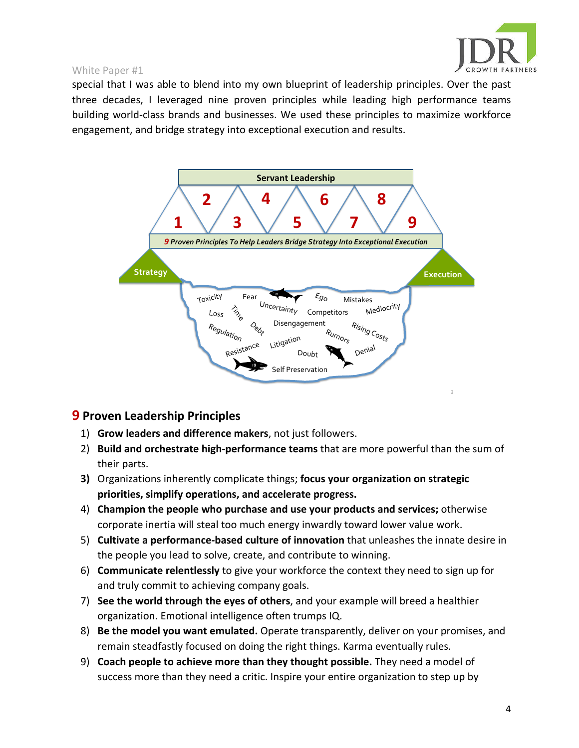

special that I was able to blend into my own blueprint of leadership principles. Over the past three decades, I leveraged nine proven principles while leading high performance teams building world-class brands and businesses. We used these principles to maximize workforce engagement, and bridge strategy into exceptional execution and results.



## **9** Proven Leadership Principles

- 1) **Grow leaders and difference makers**, not just followers.
- 2) **Build and orchestrate high-performance teams** that are more powerful than the sum of their parts.
- **3)** Organizations inherently complicate things; **focus your organization on strategic priorities, simplify operations, and accelerate progress.**
- 4) **Champion the people who purchase and use your products and services;** otherwise corporate inertia will steal too much energy inwardly toward lower value work.
- 5) **Cultivate a performance-based culture of innovation** that unleashes the innate desire in the people you lead to solve, create, and contribute to winning.
- 6) **Communicate relentlessly** to give your workforce the context they need to sign up for and truly commit to achieving company goals.
- 7) **See the world through the eyes of others**, and your example will breed a healthier organization. Emotional intelligence often trumps IQ.
- 8) **Be the model you want emulated.** Operate transparently, deliver on your promises, and remain steadfastly focused on doing the right things. Karma eventually rules.
- 9) **Coach people to achieve more than they thought possible.** They need a model of success more than they need a critic. Inspire your entire organization to step up by